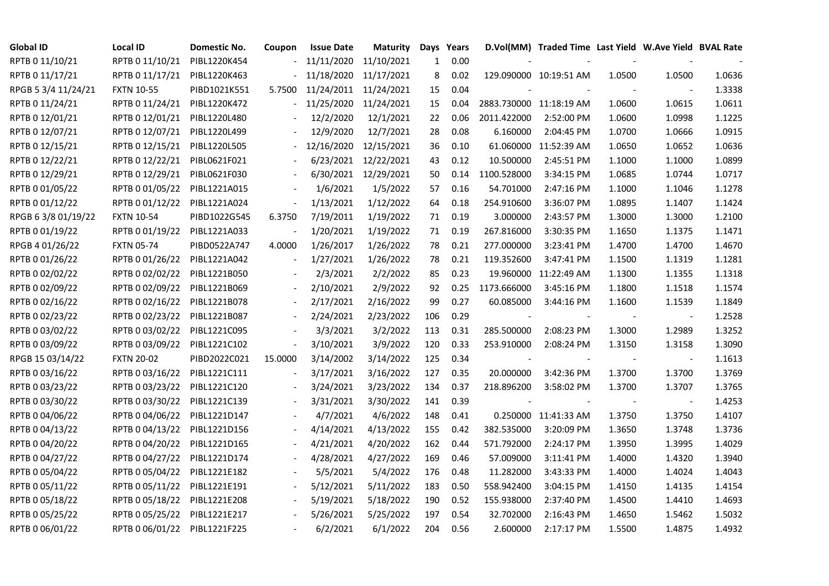| <b>Global ID</b>    | Local ID                     | Domestic No. | Coupon                   | <b>Issue Date</b> | <b>Maturity</b>       |     | Days Years |             | D.Vol(MM) Traded Time Last Yield W.Ave Yield BVAL Rate |        |                          |        |
|---------------------|------------------------------|--------------|--------------------------|-------------------|-----------------------|-----|------------|-------------|--------------------------------------------------------|--------|--------------------------|--------|
| RPTB 0 11/10/21     | RPTB 0 11/10/21              | PIBL1220K454 |                          | 11/11/2020        | 11/10/2021            | 1   | 0.00       |             |                                                        |        |                          |        |
| RPTB 0 11/17/21     | RPTB 0 11/17/21              | PIBL1220K463 |                          |                   | 11/18/2020 11/17/2021 | 8   | 0.02       |             | 129.090000 10:19:51 AM                                 | 1.0500 | 1.0500                   | 1.0636 |
| RPGB 5 3/4 11/24/21 | <b>FXTN 10-55</b>            | PIBD1021K551 | 5.7500                   |                   | 11/24/2011 11/24/2021 | 15  | 0.04       |             |                                                        |        | $\overline{\phantom{a}}$ | 1.3338 |
| RPTB 0 11/24/21     | RPTB 0 11/24/21              | PIBL1220K472 | $\sim$                   | 11/25/2020        | 11/24/2021            | 15  | 0.04       |             | 2883.730000 11:18:19 AM                                | 1.0600 | 1.0615                   | 1.0611 |
| RPTB 0 12/01/21     | RPTB 0 12/01/21              | PIBL1220L480 |                          | 12/2/2020         | 12/1/2021             | 22  | 0.06       | 2011.422000 | 2:52:00 PM                                             | 1.0600 | 1.0998                   | 1.1225 |
| RPTB 0 12/07/21     | RPTB 0 12/07/21              | PIBL1220L499 |                          | 12/9/2020         | 12/7/2021             | 28  | 0.08       | 6.160000    | 2:04:45 PM                                             | 1.0700 | 1.0666                   | 1.0915 |
| RPTB 0 12/15/21     | RPTB 0 12/15/21              | PIBL1220L505 |                          | 12/16/2020        | 12/15/2021            | 36  | 0.10       | 61.060000   | 11:52:39 AM                                            | 1.0650 | 1.0652                   | 1.0636 |
| RPTB 0 12/22/21     | RPTB 0 12/22/21              | PIBL0621F021 |                          | 6/23/2021         | 12/22/2021            | 43  | 0.12       | 10.500000   | 2:45:51 PM                                             | 1.1000 | 1.1000                   | 1.0899 |
| RPTB 0 12/29/21     | RPTB 0 12/29/21              | PIBL0621F030 |                          | 6/30/2021         | 12/29/2021            | 50  | 0.14       | 1100.528000 | 3:34:15 PM                                             | 1.0685 | 1.0744                   | 1.0717 |
| RPTB 0 01/05/22     | RPTB 0 01/05/22              | PIBL1221A015 |                          | 1/6/2021          | 1/5/2022              | 57  | 0.16       | 54.701000   | 2:47:16 PM                                             | 1.1000 | 1.1046                   | 1.1278 |
| RPTB 0 01/12/22     | RPTB 0 01/12/22              | PIBL1221A024 | $\overline{\phantom{a}}$ | 1/13/2021         | 1/12/2022             | 64  | 0.18       | 254.910600  | 3:36:07 PM                                             | 1.0895 | 1.1407                   | 1.1424 |
| RPGB 63/8 01/19/22  | <b>FXTN 10-54</b>            | PIBD1022G545 | 6.3750                   | 7/19/2011         | 1/19/2022             | 71  | 0.19       | 3.000000    | 2:43:57 PM                                             | 1.3000 | 1.3000                   | 1.2100 |
| RPTB 0 01/19/22     | RPTB 0 01/19/22              | PIBL1221A033 |                          | 1/20/2021         | 1/19/2022             | 71  | 0.19       | 267.816000  | 3:30:35 PM                                             | 1.1650 | 1.1375                   | 1.1471 |
| RPGB 4 01/26/22     | <b>FXTN 05-74</b>            | PIBD0522A747 | 4.0000                   | 1/26/2017         | 1/26/2022             | 78  | 0.21       | 277.000000  | 3:23:41 PM                                             | 1.4700 | 1.4700                   | 1.4670 |
| RPTB 0 01/26/22     | RPTB 0 01/26/22              | PIBL1221A042 |                          | 1/27/2021         | 1/26/2022             | 78  | 0.21       | 119.352600  | 3:47:41 PM                                             | 1.1500 | 1.1319                   | 1.1281 |
| RPTB 0 02/02/22     | RPTB 0 02/02/22              | PIBL1221B050 |                          | 2/3/2021          | 2/2/2022              | 85  | 0.23       | 19.960000   | 11:22:49 AM                                            | 1.1300 | 1.1355                   | 1.1318 |
| RPTB 0 02/09/22     | RPTB 0 02/09/22              | PIBL1221B069 |                          | 2/10/2021         | 2/9/2022              | 92  | 0.25       | 1173.666000 | 3:45:16 PM                                             | 1.1800 | 1.1518                   | 1.1574 |
| RPTB 0 02/16/22     | RPTB 0 02/16/22              | PIBL1221B078 | $\blacksquare$           | 2/17/2021         | 2/16/2022             | 99  | 0.27       | 60.085000   | 3:44:16 PM                                             | 1.1600 | 1.1539                   | 1.1849 |
| RPTB 0 02/23/22     | RPTB 0 02/23/22              | PIBL1221B087 |                          | 2/24/2021         | 2/23/2022             | 106 | 0.29       |             |                                                        |        | $\overline{\phantom{a}}$ | 1.2528 |
| RPTB 0 03/02/22     | RPTB 0 03/02/22              | PIBL1221C095 |                          | 3/3/2021          | 3/2/2022              | 113 | 0.31       | 285.500000  | 2:08:23 PM                                             | 1.3000 | 1.2989                   | 1.3252 |
| RPTB 0 03/09/22     | RPTB 0 03/09/22              | PIBL1221C102 | $\overline{\phantom{a}}$ | 3/10/2021         | 3/9/2022              | 120 | 0.33       | 253.910000  | 2:08:24 PM                                             | 1.3150 | 1.3158                   | 1.3090 |
| RPGB 15 03/14/22    | <b>FXTN 20-02</b>            | PIBD2022C021 | 15.0000                  | 3/14/2002         | 3/14/2022             | 125 | 0.34       |             |                                                        |        | $\overline{\phantom{a}}$ | 1.1613 |
| RPTB 0 03/16/22     | RPTB 0 03/16/22              | PIBL1221C111 |                          | 3/17/2021         | 3/16/2022             | 127 | 0.35       | 20.000000   | 3:42:36 PM                                             | 1.3700 | 1.3700                   | 1.3769 |
| RPTB 0 03/23/22     | RPTB 0 03/23/22              | PIBL1221C120 |                          | 3/24/2021         | 3/23/2022             | 134 | 0.37       | 218.896200  | 3:58:02 PM                                             | 1.3700 | 1.3707                   | 1.3765 |
| RPTB 0 03/30/22     | RPTB 0 03/30/22              | PIBL1221C139 |                          | 3/31/2021         | 3/30/2022             | 141 | 0.39       |             |                                                        |        | $\overline{\phantom{a}}$ | 1.4253 |
| RPTB 0 04/06/22     | RPTB 0 04/06/22              | PIBL1221D147 |                          | 4/7/2021          | 4/6/2022              | 148 | 0.41       |             | 0.250000 11:41:33 AM                                   | 1.3750 | 1.3750                   | 1.4107 |
| RPTB 0 04/13/22     | RPTB 0 04/13/22              | PIBL1221D156 |                          | 4/14/2021         | 4/13/2022             | 155 | 0.42       | 382.535000  | 3:20:09 PM                                             | 1.3650 | 1.3748                   | 1.3736 |
| RPTB 0 04/20/22     | RPTB 0 04/20/22              | PIBL1221D165 |                          | 4/21/2021         | 4/20/2022             | 162 | 0.44       | 571.792000  | 2:24:17 PM                                             | 1.3950 | 1.3995                   | 1.4029 |
| RPTB 0 04/27/22     | RPTB 0 04/27/22              | PIBL1221D174 |                          | 4/28/2021         | 4/27/2022             | 169 | 0.46       | 57.009000   | 3:11:41 PM                                             | 1.4000 | 1.4320                   | 1.3940 |
| RPTB 0 05/04/22     | RPTB 0 05/04/22              | PIBL1221E182 |                          | 5/5/2021          | 5/4/2022              | 176 | 0.48       | 11.282000   | 3:43:33 PM                                             | 1.4000 | 1.4024                   | 1.4043 |
| RPTB 0 05/11/22     | RPTB 0 05/11/22              | PIBL1221E191 |                          | 5/12/2021         | 5/11/2022             | 183 | 0.50       | 558.942400  | 3:04:15 PM                                             | 1.4150 | 1.4135                   | 1.4154 |
| RPTB 0 05/18/22     | RPTB 0 05/18/22              | PIBL1221E208 |                          | 5/19/2021         | 5/18/2022             | 190 | 0.52       | 155.938000  | 2:37:40 PM                                             | 1.4500 | 1.4410                   | 1.4693 |
| RPTB 0 05/25/22     | RPTB 0 05/25/22              | PIBL1221E217 |                          | 5/26/2021         | 5/25/2022             | 197 | 0.54       | 32.702000   | 2:16:43 PM                                             | 1.4650 | 1.5462                   | 1.5032 |
| RPTB 0 06/01/22     | RPTB 0 06/01/22 PIBL1221F225 |              |                          | 6/2/2021          | 6/1/2022              | 204 | 0.56       | 2.600000    | 2:17:17 PM                                             | 1.5500 | 1.4875                   | 1.4932 |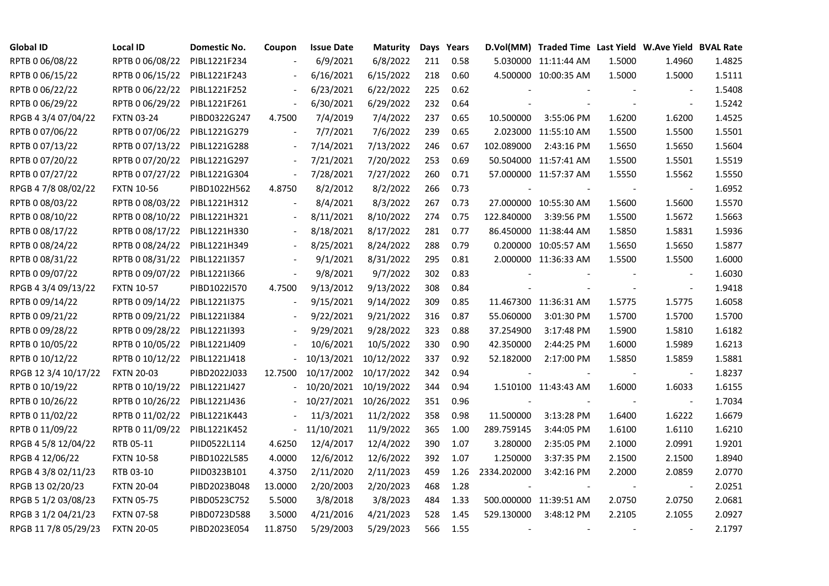| <b>Global ID</b>     | Local ID          | Domestic No. | Coupon                   | <b>Issue Date</b> | <b>Maturity</b> |     | Days Years |                          | D.Vol(MM) Traded Time Last Yield W.Ave Yield BVAL Rate |        |                          |        |
|----------------------|-------------------|--------------|--------------------------|-------------------|-----------------|-----|------------|--------------------------|--------------------------------------------------------|--------|--------------------------|--------|
| RPTB 0 06/08/22      | RPTB 0 06/08/22   | PIBL1221F234 |                          | 6/9/2021          | 6/8/2022        | 211 | 0.58       |                          | 5.030000 11:11:44 AM                                   | 1.5000 | 1.4960                   | 1.4825 |
| RPTB 0 06/15/22      | RPTB 0 06/15/22   | PIBL1221F243 |                          | 6/16/2021         | 6/15/2022       | 218 | 0.60       |                          | 4.500000 10:00:35 AM                                   | 1.5000 | 1.5000                   | 1.5111 |
| RPTB 0 06/22/22      | RPTB 0 06/22/22   | PIBL1221F252 | $\blacksquare$           | 6/23/2021         | 6/22/2022       | 225 | 0.62       |                          |                                                        |        |                          | 1.5408 |
| RPTB 0 06/29/22      | RPTB 0 06/29/22   | PIBL1221F261 | $\blacksquare$           | 6/30/2021         | 6/29/2022       | 232 | 0.64       |                          |                                                        |        | $\blacksquare$           | 1.5242 |
| RPGB 4 3/4 07/04/22  | <b>FXTN 03-24</b> | PIBD0322G247 | 4.7500                   | 7/4/2019          | 7/4/2022        | 237 | 0.65       | 10.500000                | 3:55:06 PM                                             | 1.6200 | 1.6200                   | 1.4525 |
| RPTB 0 07/06/22      | RPTB 0 07/06/22   | PIBL1221G279 | $\blacksquare$           | 7/7/2021          | 7/6/2022        | 239 | 0.65       |                          | 2.023000 11:55:10 AM                                   | 1.5500 | 1.5500                   | 1.5501 |
| RPTB 0 07/13/22      | RPTB 0 07/13/22   | PIBL1221G288 | $\overline{\phantom{a}}$ | 7/14/2021         | 7/13/2022       | 246 | 0.67       | 102.089000               | 2:43:16 PM                                             | 1.5650 | 1.5650                   | 1.5604 |
| RPTB 0 07/20/22      | RPTB 0 07/20/22   | PIBL1221G297 |                          | 7/21/2021         | 7/20/2022       | 253 | 0.69       |                          | 50.504000 11:57:41 AM                                  | 1.5500 | 1.5501                   | 1.5519 |
| RPTB 0 07/27/22      | RPTB 0 07/27/22   | PIBL1221G304 | $\frac{1}{2}$            | 7/28/2021         | 7/27/2022       | 260 | 0.71       |                          | 57.000000 11:57:37 AM                                  | 1.5550 | 1.5562                   | 1.5550 |
| RPGB 4 7/8 08/02/22  | <b>FXTN 10-56</b> | PIBD1022H562 | 4.8750                   | 8/2/2012          | 8/2/2022        | 266 | 0.73       |                          |                                                        |        | $\overline{\phantom{a}}$ | 1.6952 |
| RPTB 0 08/03/22      | RPTB 0 08/03/22   | PIBL1221H312 | $\Box$                   | 8/4/2021          | 8/3/2022        | 267 | 0.73       |                          | 27.000000 10:55:30 AM                                  | 1.5600 | 1.5600                   | 1.5570 |
| RPTB 0 08/10/22      | RPTB 0 08/10/22   | PIBL1221H321 | $\blacksquare$           | 8/11/2021         | 8/10/2022       | 274 | 0.75       | 122.840000               | 3:39:56 PM                                             | 1.5500 | 1.5672                   | 1.5663 |
| RPTB 0 08/17/22      | RPTB 0 08/17/22   | PIBL1221H330 |                          | 8/18/2021         | 8/17/2022       | 281 | 0.77       |                          | 86.450000 11:38:44 AM                                  | 1.5850 | 1.5831                   | 1.5936 |
| RPTB 0 08/24/22      | RPTB 0 08/24/22   | PIBL1221H349 | $\blacksquare$           | 8/25/2021         | 8/24/2022       | 288 | 0.79       |                          | 0.200000 10:05:57 AM                                   | 1.5650 | 1.5650                   | 1.5877 |
| RPTB 0 08/31/22      | RPTB 0 08/31/22   | PIBL1221I357 |                          | 9/1/2021          | 8/31/2022       | 295 | 0.81       |                          | 2.000000 11:36:33 AM                                   | 1.5500 | 1.5500                   | 1.6000 |
| RPTB 0 09/07/22      | RPTB 0 09/07/22   | PIBL1221I366 |                          | 9/8/2021          | 9/7/2022        | 302 | 0.83       |                          |                                                        |        |                          | 1.6030 |
| RPGB 4 3/4 09/13/22  | <b>FXTN 10-57</b> | PIBD1022I570 | 4.7500                   | 9/13/2012         | 9/13/2022       | 308 | 0.84       |                          |                                                        |        | $\overline{\phantom{a}}$ | 1.9418 |
| RPTB 0 09/14/22      | RPTB 0 09/14/22   | PIBL1221I375 | $\blacksquare$           | 9/15/2021         | 9/14/2022       | 309 | 0.85       |                          | 11.467300 11:36:31 AM                                  | 1.5775 | 1.5775                   | 1.6058 |
| RPTB 0 09/21/22      | RPTB 0 09/21/22   | PIBL1221I384 |                          | 9/22/2021         | 9/21/2022       | 316 | 0.87       | 55.060000                | 3:01:30 PM                                             | 1.5700 | 1.5700                   | 1.5700 |
| RPTB 0 09/28/22      | RPTB 0 09/28/22   | PIBL1221I393 |                          | 9/29/2021         | 9/28/2022       | 323 | 0.88       | 37.254900                | 3:17:48 PM                                             | 1.5900 | 1.5810                   | 1.6182 |
| RPTB 0 10/05/22      | RPTB 0 10/05/22   | PIBL1221J409 |                          | 10/6/2021         | 10/5/2022       | 330 | 0.90       | 42.350000                | 2:44:25 PM                                             | 1.6000 | 1.5989                   | 1.6213 |
| RPTB 0 10/12/22      | RPTB 0 10/12/22   | PIBL1221J418 |                          | 10/13/2021        | 10/12/2022      | 337 | 0.92       | 52.182000                | 2:17:00 PM                                             | 1.5850 | 1.5859                   | 1.5881 |
| RPGB 12 3/4 10/17/22 | <b>FXTN 20-03</b> | PIBD2022J033 | 12.7500                  | 10/17/2002        | 10/17/2022      | 342 | 0.94       |                          |                                                        |        |                          | 1.8237 |
| RPTB 0 10/19/22      | RPTB 0 10/19/22   | PIBL1221J427 |                          | 10/20/2021        | 10/19/2022      | 344 | 0.94       |                          | 1.510100 11:43:43 AM                                   | 1.6000 | 1.6033                   | 1.6155 |
| RPTB 0 10/26/22      | RPTB 0 10/26/22   | PIBL1221J436 |                          | 10/27/2021        | 10/26/2022      | 351 | 0.96       |                          |                                                        |        |                          | 1.7034 |
| RPTB 0 11/02/22      | RPTB 0 11/02/22   | PIBL1221K443 |                          | 11/3/2021         | 11/2/2022       | 358 | 0.98       | 11.500000                | 3:13:28 PM                                             | 1.6400 | 1.6222                   | 1.6679 |
| RPTB 0 11/09/22      | RPTB 0 11/09/22   | PIBL1221K452 | $\sim$                   | 11/10/2021        | 11/9/2022       | 365 | 1.00       | 289.759145               | 3:44:05 PM                                             | 1.6100 | 1.6110                   | 1.6210 |
| RPGB 4 5/8 12/04/22  | RTB 05-11         | PIID0522L114 | 4.6250                   | 12/4/2017         | 12/4/2022       | 390 | 1.07       | 3.280000                 | 2:35:05 PM                                             | 2.1000 | 2.0991                   | 1.9201 |
| RPGB 4 12/06/22      | <b>FXTN 10-58</b> | PIBD1022L585 | 4.0000                   | 12/6/2012         | 12/6/2022       | 392 | 1.07       | 1.250000                 | 3:37:35 PM                                             | 2.1500 | 2.1500                   | 1.8940 |
| RPGB 4 3/8 02/11/23  | RTB 03-10         | PIID0323B101 | 4.3750                   | 2/11/2020         | 2/11/2023       | 459 | 1.26       | 2334.202000              | 3:42:16 PM                                             | 2.2000 | 2.0859                   | 2.0770 |
| RPGB 13 02/20/23     | <b>FXTN 20-04</b> | PIBD2023B048 | 13.0000                  | 2/20/2003         | 2/20/2023       | 468 | 1.28       |                          |                                                        |        |                          | 2.0251 |
| RPGB 5 1/2 03/08/23  | <b>FXTN 05-75</b> | PIBD0523C752 | 5.5000                   | 3/8/2018          | 3/8/2023        | 484 | 1.33       |                          | 500.000000 11:39:51 AM                                 | 2.0750 | 2.0750                   | 2.0681 |
| RPGB 3 1/2 04/21/23  | <b>FXTN 07-58</b> | PIBD0723D588 | 3.5000                   | 4/21/2016         | 4/21/2023       | 528 | 1.45       | 529.130000               | 3:48:12 PM                                             | 2.2105 | 2.1055                   | 2.0927 |
| RPGB 11 7/8 05/29/23 | <b>FXTN 20-05</b> | PIBD2023E054 | 11.8750                  | 5/29/2003         | 5/29/2023       | 566 | 1.55       | $\overline{\phantom{a}}$ |                                                        |        |                          | 2.1797 |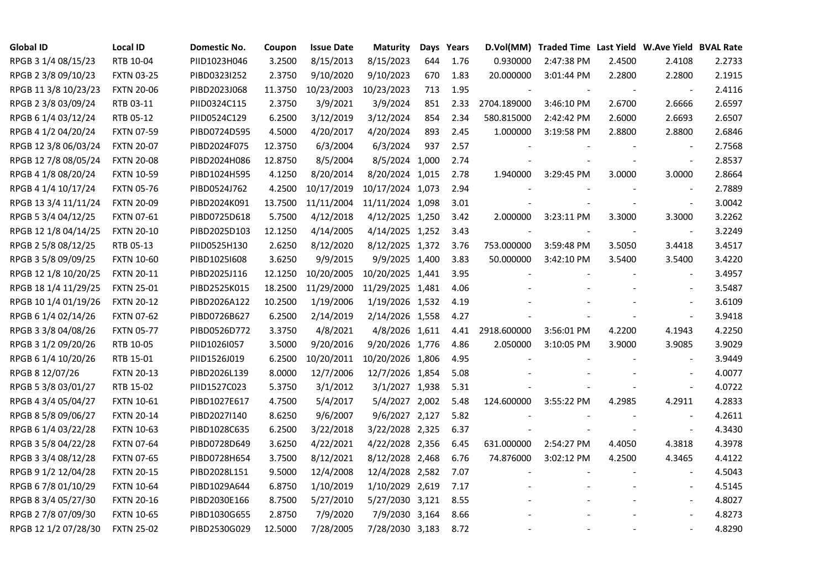| <b>Global ID</b>     | <b>Local ID</b>   | Domestic No. | Coupon  | <b>Issue Date</b> | <b>Maturity</b>  | Days | Years |             | D.Vol(MM) Traded Time Last Yield W.Ave Yield BVAL Rate |                |                          |        |
|----------------------|-------------------|--------------|---------|-------------------|------------------|------|-------|-------------|--------------------------------------------------------|----------------|--------------------------|--------|
| RPGB 3 1/4 08/15/23  | RTB 10-04         | PIID1023H046 | 3.2500  | 8/15/2013         | 8/15/2023        | 644  | 1.76  | 0.930000    | 2:47:38 PM                                             | 2.4500         | 2.4108                   | 2.2733 |
| RPGB 2 3/8 09/10/23  | <b>FXTN 03-25</b> | PIBD0323I252 | 2.3750  | 9/10/2020         | 9/10/2023        | 670  | 1.83  | 20.000000   | 3:01:44 PM                                             | 2.2800         | 2.2800                   | 2.1915 |
| RPGB 11 3/8 10/23/23 | <b>FXTN 20-06</b> | PIBD2023J068 | 11.3750 | 10/23/2003        | 10/23/2023       | 713  | 1.95  |             |                                                        | $\blacksquare$ | $\blacksquare$           | 2.4116 |
| RPGB 2 3/8 03/09/24  | RTB 03-11         | PIID0324C115 | 2.3750  | 3/9/2021          | 3/9/2024         | 851  | 2.33  | 2704.189000 | 3:46:10 PM                                             | 2.6700         | 2.6666                   | 2.6597 |
| RPGB 6 1/4 03/12/24  | RTB 05-12         | PIID0524C129 | 6.2500  | 3/12/2019         | 3/12/2024        | 854  | 2.34  | 580.815000  | 2:42:42 PM                                             | 2.6000         | 2.6693                   | 2.6507 |
| RPGB 4 1/2 04/20/24  | <b>FXTN 07-59</b> | PIBD0724D595 | 4.5000  | 4/20/2017         | 4/20/2024        | 893  | 2.45  | 1.000000    | 3:19:58 PM                                             | 2.8800         | 2.8800                   | 2.6846 |
| RPGB 12 3/8 06/03/24 | <b>FXTN 20-07</b> | PIBD2024F075 | 12.3750 | 6/3/2004          | 6/3/2024         | 937  | 2.57  |             |                                                        |                | $\sim$                   | 2.7568 |
| RPGB 12 7/8 08/05/24 | <b>FXTN 20-08</b> | PIBD2024H086 | 12.8750 | 8/5/2004          | 8/5/2024 1,000   |      | 2.74  |             |                                                        |                | $\sim$                   | 2.8537 |
| RPGB 4 1/8 08/20/24  | <b>FXTN 10-59</b> | PIBD1024H595 | 4.1250  | 8/20/2014         | 8/20/2024 1,015  |      | 2.78  | 1.940000    | 3:29:45 PM                                             | 3.0000         | 3.0000                   | 2.8664 |
| RPGB 4 1/4 10/17/24  | <b>FXTN 05-76</b> | PIBD0524J762 | 4.2500  | 10/17/2019        | 10/17/2024 1,073 |      | 2.94  |             |                                                        |                | $\blacksquare$           | 2.7889 |
| RPGB 13 3/4 11/11/24 | <b>FXTN 20-09</b> | PIBD2024K091 | 13.7500 | 11/11/2004        | 11/11/2024 1,098 |      | 3.01  |             |                                                        |                | $\blacksquare$           | 3.0042 |
| RPGB 5 3/4 04/12/25  | <b>FXTN 07-61</b> | PIBD0725D618 | 5.7500  | 4/12/2018         | 4/12/2025 1,250  |      | 3.42  | 2.000000    | 3:23:11 PM                                             | 3.3000         | 3.3000                   | 3.2262 |
| RPGB 12 1/8 04/14/25 | <b>FXTN 20-10</b> | PIBD2025D103 | 12.1250 | 4/14/2005         | 4/14/2025 1,252  |      | 3.43  |             |                                                        |                | $\overline{\phantom{a}}$ | 3.2249 |
| RPGB 2 5/8 08/12/25  | RTB 05-13         | PIID0525H130 | 2.6250  | 8/12/2020         | 8/12/2025 1,372  |      | 3.76  | 753.000000  | 3:59:48 PM                                             | 3.5050         | 3.4418                   | 3.4517 |
| RPGB 3 5/8 09/09/25  | <b>FXTN 10-60</b> | PIBD10251608 | 3.6250  | 9/9/2015          | 9/9/2025 1,400   |      | 3.83  | 50.000000   | 3:42:10 PM                                             | 3.5400         | 3.5400                   | 3.4220 |
| RPGB 12 1/8 10/20/25 | <b>FXTN 20-11</b> | PIBD2025J116 | 12.1250 | 10/20/2005        | 10/20/2025 1,441 |      | 3.95  |             |                                                        |                |                          | 3.4957 |
| RPGB 18 1/4 11/29/25 | <b>FXTN 25-01</b> | PIBD2525K015 | 18.2500 | 11/29/2000        | 11/29/2025 1,481 |      | 4.06  |             |                                                        |                |                          | 3.5487 |
| RPGB 10 1/4 01/19/26 | <b>FXTN 20-12</b> | PIBD2026A122 | 10.2500 | 1/19/2006         | 1/19/2026 1,532  |      | 4.19  |             |                                                        |                | $\sim$                   | 3.6109 |
| RPGB 6 1/4 02/14/26  | <b>FXTN 07-62</b> | PIBD0726B627 | 6.2500  | 2/14/2019         | 2/14/2026 1,558  |      | 4.27  |             |                                                        |                | $\blacksquare$           | 3.9418 |
| RPGB 3 3/8 04/08/26  | <b>FXTN 05-77</b> | PIBD0526D772 | 3.3750  | 4/8/2021          | 4/8/2026 1,611   |      | 4.41  | 2918.600000 | 3:56:01 PM                                             | 4.2200         | 4.1943                   | 4.2250 |
| RPGB 3 1/2 09/20/26  | RTB 10-05         | PIID1026I057 | 3.5000  | 9/20/2016         | 9/20/2026 1,776  |      | 4.86  | 2.050000    | 3:10:05 PM                                             | 3.9000         | 3.9085                   | 3.9029 |
| RPGB 6 1/4 10/20/26  | RTB 15-01         | PIID1526J019 | 6.2500  | 10/20/2011        | 10/20/2026 1,806 |      | 4.95  |             |                                                        |                |                          | 3.9449 |
| RPGB 8 12/07/26      | <b>FXTN 20-13</b> | PIBD2026L139 | 8.0000  | 12/7/2006         | 12/7/2026 1,854  |      | 5.08  |             |                                                        |                |                          | 4.0077 |
| RPGB 5 3/8 03/01/27  | RTB 15-02         | PIID1527C023 | 5.3750  | 3/1/2012          | 3/1/2027 1,938   |      | 5.31  |             |                                                        |                | $\sim$                   | 4.0722 |
| RPGB 4 3/4 05/04/27  | <b>FXTN 10-61</b> | PIBD1027E617 | 4.7500  | 5/4/2017          | 5/4/2027 2,002   |      | 5.48  | 124.600000  | 3:55:22 PM                                             | 4.2985         | 4.2911                   | 4.2833 |
| RPGB 8 5/8 09/06/27  | <b>FXTN 20-14</b> | PIBD2027I140 | 8.6250  | 9/6/2007          | 9/6/2027 2,127   |      | 5.82  |             |                                                        |                | $\sim$                   | 4.2611 |
| RPGB 6 1/4 03/22/28  | <b>FXTN 10-63</b> | PIBD1028C635 | 6.2500  | 3/22/2018         | 3/22/2028 2,325  |      | 6.37  |             |                                                        |                | $\blacksquare$           | 4.3430 |
| RPGB 3 5/8 04/22/28  | <b>FXTN 07-64</b> | PIBD0728D649 | 3.6250  | 4/22/2021         | 4/22/2028 2,356  |      | 6.45  | 631.000000  | 2:54:27 PM                                             | 4.4050         | 4.3818                   | 4.3978 |
| RPGB 3 3/4 08/12/28  | <b>FXTN 07-65</b> | PIBD0728H654 | 3.7500  | 8/12/2021         | 8/12/2028 2,468  |      | 6.76  | 74.876000   | 3:02:12 PM                                             | 4.2500         | 4.3465                   | 4.4122 |
| RPGB 9 1/2 12/04/28  | <b>FXTN 20-15</b> | PIBD2028L151 | 9.5000  | 12/4/2008         | 12/4/2028 2,582  |      | 7.07  |             |                                                        |                |                          | 4.5043 |
| RPGB 67/8 01/10/29   | <b>FXTN 10-64</b> | PIBD1029A644 | 6.8750  | 1/10/2019         | 1/10/2029 2,619  |      | 7.17  |             |                                                        |                | $\blacksquare$           | 4.5145 |
| RPGB 8 3/4 05/27/30  | <b>FXTN 20-16</b> | PIBD2030E166 | 8.7500  | 5/27/2010         | 5/27/2030 3,121  |      | 8.55  |             |                                                        |                | $\overline{\phantom{a}}$ | 4.8027 |
| RPGB 2 7/8 07/09/30  | <b>FXTN 10-65</b> | PIBD1030G655 | 2.8750  | 7/9/2020          | 7/9/2030 3,164   |      | 8.66  |             |                                                        |                |                          | 4.8273 |
| RPGB 12 1/2 07/28/30 | <b>FXTN 25-02</b> | PIBD2530G029 | 12.5000 | 7/28/2005         | 7/28/2030 3,183  |      | 8.72  |             |                                                        |                | $\blacksquare$           | 4.8290 |